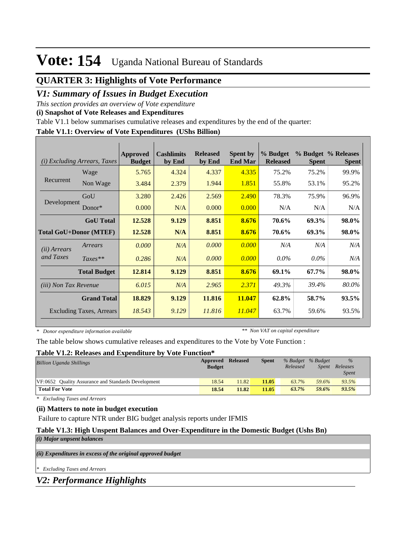## **QUARTER 3: Highlights of Vote Performance**

## *V1: Summary of Issues in Budget Execution*

*This section provides an overview of Vote expenditure* 

**(i) Snapshot of Vote Releases and Expenditures**

Table V1.1 below summarises cumulative releases and expenditures by the end of the quarter:

### **Table V1.1: Overview of Vote Expenditures (UShs Billion)**

| (i)                           | <i>Excluding Arrears, Taxes</i> | <b>Approved</b><br><b>Budget</b> | <b>Cashlimits</b><br>by End | <b>Released</b><br>by End | <b>Spent by</b><br><b>End Mar</b> | % Budget<br><b>Released</b> | <b>Spent</b> | % Budget % Releases<br><b>Spent</b> |
|-------------------------------|---------------------------------|----------------------------------|-----------------------------|---------------------------|-----------------------------------|-----------------------------|--------------|-------------------------------------|
|                               | Wage                            | 5.765                            | 4.324                       | 4.337                     | 4.335                             | 75.2%                       | 75.2%        | 99.9%                               |
| Recurrent                     | Non Wage                        | 3.484                            | 2.379                       | 1.944                     | 1.851                             | 55.8%                       | 53.1%        | 95.2%                               |
|                               | GoU                             | 3.280                            | 2.426                       | 2.569                     | 2.490                             | 78.3%                       | 75.9%        | 96.9%                               |
| Development                   | Donor $*$                       | 0.000                            | N/A                         | 0.000                     | 0.000                             | N/A                         | N/A          | N/A                                 |
|                               | <b>GoU</b> Total                | 12.528                           | 9.129                       | 8.851                     | 8.676                             | 70.6%                       | 69.3%        | 98.0%                               |
| <b>Total GoU+Donor (MTEF)</b> |                                 | 12.528                           | N/A                         | 8.851                     | 8.676                             | 70.6%                       | 69.3%        | 98.0%                               |
| ( <i>ii</i> ) Arrears         | Arrears                         | 0.000                            | N/A                         | 0.000                     | 0.000                             | N/A                         | N/A          | N/A                                 |
| and Taxes                     | $Taxes**$                       | 0.286                            | N/A                         | 0.000                     | 0.000                             | $0.0\%$                     | $0.0\%$      | N/A                                 |
|                               | <b>Total Budget</b>             | 12.814                           | 9.129                       | 8.851                     | 8.676                             | 69.1%                       | 67.7%        | 98.0%                               |
| <i>(iii)</i> Non Tax Revenue  |                                 | 6.015                            | N/A                         | 2.965                     | 2.371                             | 49.3%                       | 39.4%        | 80.0%                               |
|                               | <b>Grand Total</b>              | 18.829                           | 9.129                       | 11.816                    | 11.047                            | 62.8%                       | 58.7%        | 93.5%                               |
|                               | <b>Excluding Taxes, Arrears</b> | 18.543                           | 9.129                       | 11.816                    | 11.047                            | 63.7%                       | 59.6%        | 93.5%                               |

*\* Donor expenditure information available*

*\*\* Non VAT on capital expenditure*

The table below shows cumulative releases and expenditures to the Vote by Vote Function :

#### **Table V1.2: Releases and Expenditure by Vote Function\***

| <b>Billion Uganda Shillings</b>                     | <b>Approved Released</b><br><b>Budget</b> |       | <b>Spent</b> | % Budget % Budget<br>Released | <i>Spent</i> | $\%$<br>Releases<br><i>Spent</i> |
|-----------------------------------------------------|-------------------------------------------|-------|--------------|-------------------------------|--------------|----------------------------------|
| VF:0652 Ouality Assurance and Standards Development | 18.54                                     | 11.82 | 11.05        | 63.7%                         | 59.6%        | 93.5%                            |
| <b>Total For Vote</b>                               | 18.54                                     | 11.82 | 11.05        | 63.7%                         | 59.6%        | 93.5%                            |

*\* Excluding Taxes and Arrears*

### **(ii) Matters to note in budget execution**

Failure to capture NTR under BIG budget analysis reports under IFMIS

#### **Table V1.3: High Unspent Balances and Over-Expenditure in the Domestic Budget (Ushs Bn)**

*(i) Major unpsent balances*

*(ii) Expenditures in excess of the original approved budget*

*\* Excluding Taxes and Arrears*

*V2: Performance Highlights*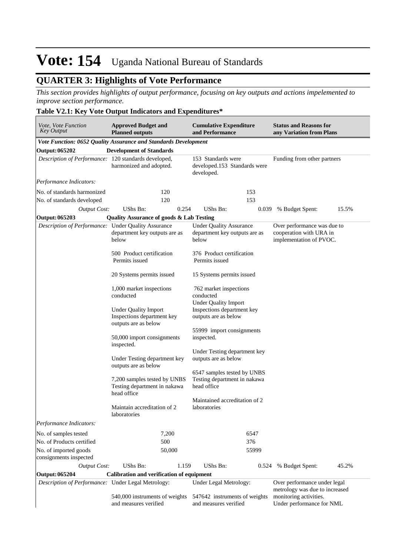## **QUARTER 3: Highlights of Vote Performance**

*This section provides highlights of output performance, focusing on key outputs and actions impelemented to improve section performance.*

## **Table V2.1: Key Vote Output Indicators and Expenditures\***

| Vote, Vote Function<br><b>Key Output</b>             | <b>Approved Budget and</b><br><b>Cumulative Expenditure</b><br><b>Planned outputs</b><br>and Performance |                                                                            |                                                                                   |  |  |  |
|------------------------------------------------------|----------------------------------------------------------------------------------------------------------|----------------------------------------------------------------------------|-----------------------------------------------------------------------------------|--|--|--|
|                                                      | Vote Function: 0652 Quality Assurance and Standards Development                                          |                                                                            |                                                                                   |  |  |  |
| <b>Output: 065202</b>                                | <b>Development of Standards</b>                                                                          |                                                                            |                                                                                   |  |  |  |
| Description of Performance: 120 standards developed, | harmonized and adopted.                                                                                  | 153 Standards were<br>developed.153 Standards were<br>developed.           | Funding from other partners                                                       |  |  |  |
| Performance Indicators:                              |                                                                                                          |                                                                            |                                                                                   |  |  |  |
| No. of standards harmonized                          | 120                                                                                                      | 153                                                                        |                                                                                   |  |  |  |
| No. of standards developed                           | 120                                                                                                      | 153                                                                        |                                                                                   |  |  |  |
| <b>Output Cost:</b>                                  | UShs Bn:<br>0.254                                                                                        | <b>UShs Bn:</b><br>0.039                                                   | % Budget Spent:<br>15.5%                                                          |  |  |  |
| Output: 065203                                       | <b>Quality Assurance of goods &amp; Lab Testing</b>                                                      |                                                                            |                                                                                   |  |  |  |
| Description of Performance: Under Quality Assurance  | department key outputs are as<br>below                                                                   | <b>Under Quality Assurance</b><br>department key outputs are as<br>below   | Over performance was due to<br>cooperation with URA in<br>implementation of PVOC. |  |  |  |
|                                                      | 500 Product certification<br>Permits issued                                                              | 376 Product certification<br>Permits issued                                |                                                                                   |  |  |  |
|                                                      | 20 Systems permits issued                                                                                | 15 Systems permits issued                                                  |                                                                                   |  |  |  |
|                                                      | 1,000 market inspections<br>conducted                                                                    | 762 market inspections<br>conducted<br><b>Under Quality Import</b>         |                                                                                   |  |  |  |
|                                                      | <b>Under Quality Import</b><br>Inspections department key<br>outputs are as below                        | Inspections department key<br>outputs are as below                         |                                                                                   |  |  |  |
|                                                      | 50,000 import consignments<br>inspected.                                                                 | 55999 import consignments<br>inspected.                                    |                                                                                   |  |  |  |
|                                                      | Under Testing department key<br>outputs are as below                                                     | Under Testing department key<br>outputs are as below                       |                                                                                   |  |  |  |
|                                                      | 7,200 samples tested by UNBS<br>Testing department in nakawa<br>head office                              | 6547 samples tested by UNBS<br>Testing department in nakawa<br>head office |                                                                                   |  |  |  |
|                                                      | Maintain accreditation of 2<br>laboratories                                                              | Maintained accreditation of 2<br>laboratories                              |                                                                                   |  |  |  |
| Performance Indicators:                              |                                                                                                          |                                                                            |                                                                                   |  |  |  |
| No. of samples tested                                | 7,200                                                                                                    | 6547                                                                       |                                                                                   |  |  |  |
| No. of Products certified                            | 500                                                                                                      | 376                                                                        |                                                                                   |  |  |  |
| No. of imported goods<br>consignments inspected      | 50,000                                                                                                   | 55999                                                                      |                                                                                   |  |  |  |
| <b>Output Cost:</b>                                  | UShs Bn:<br>1.159                                                                                        | UShs Bn:<br>0.524                                                          | 45.2%<br>% Budget Spent:                                                          |  |  |  |
| <b>Output: 065204</b>                                | <b>Calibration and verification of equipment</b>                                                         |                                                                            |                                                                                   |  |  |  |
| Description of Performance: Under Legal Metrology:   |                                                                                                          | Under Legal Metrology:                                                     | Over performance under legal<br>metrology was due to increased                    |  |  |  |
|                                                      | 540,000 instruments of weights<br>and measures verified                                                  | 547642 instruments of weights<br>and measures verified                     | monitoring activities.<br>Under performance for NML                               |  |  |  |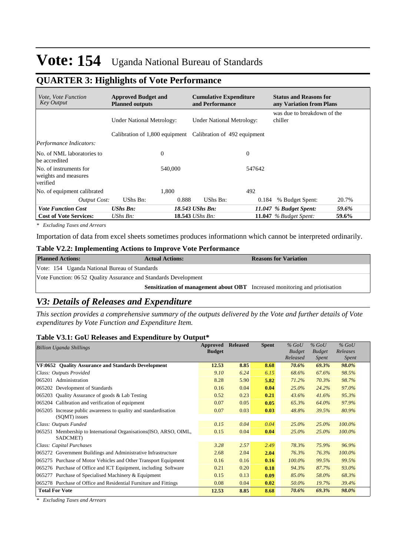## **QUARTER 3: Highlights of Vote Performance**

| <i>Vote. Vote Function</i><br>Key Output                   | <b>Approved Budget and</b><br><b>Planned outputs</b> | <b>Cumulative Expenditure</b><br>and Performance            | <b>Status and Reasons for</b><br>any Variation from Plans |
|------------------------------------------------------------|------------------------------------------------------|-------------------------------------------------------------|-----------------------------------------------------------|
|                                                            | <b>Under National Metrology:</b>                     | <b>Under National Metrology:</b>                            | was due to breakdown of the<br>chiller                    |
|                                                            |                                                      | Calibration of 1,800 equipment Calibration of 492 equipment |                                                           |
| Performance Indicators:                                    |                                                      |                                                             |                                                           |
| No. of NML laboratories to<br>be accredited                | $\theta$                                             | $\Omega$                                                    |                                                           |
| No. of instruments for<br>weights and measures<br>verified | 540,000                                              | 547642                                                      |                                                           |
| No. of equipment calibrated                                | 1.800                                                | 492                                                         |                                                           |
| <b>Output Cost:</b>                                        | UShs Bn:<br>0.888                                    | UShs Bn:<br>0.184                                           | 20.7%<br>% Budget Spent:                                  |
| <b>Vote Function Cost</b>                                  | <b>UShs Bn:</b>                                      | 18.543 UShs Bn:                                             | 11.047 % Budget Spent:<br>59.6%                           |
| <b>Cost of Vote Services:</b>                              | UShs Bn:                                             | 18.543 UShs Bn:                                             | 11.047 $%$ Budget Spent:<br>59.6%                         |

*\* Excluding Taxes and Arrears*

Importation of data from excel sheets sometimes produces informationn which cannot be interpreted ordinarily.

### **Table V2.2: Implementing Actions to Improve Vote Performance**

| <b>Planned Actions:</b>                                          | <b>Actual Actions:</b>                                                             | <b>Reasons for Variation</b> |
|------------------------------------------------------------------|------------------------------------------------------------------------------------|------------------------------|
| Vote: 154 Uganda National Bureau of Standards                    |                                                                                    |                              |
| Vote Function: 06 52 Quality Assurance and Standards Development |                                                                                    |                              |
|                                                                  | <b>Sensitization of management about OBT</b> Increased monitoring and priotisation |                              |

## *V3: Details of Releases and Expenditure*

*This section provides a comprehensive summary of the outputs delivered by the Vote and further details of Vote expenditures by Vote Function and Expenditure Item.*

#### **Table V3.1: GoU Releases and Expenditure by Output\***

| <b>Billion Uganda Shillings</b>                                       | Approved      | <b>Released</b> | <b>Spent</b> | $%$ GoU       | $%$ GoU       | $%$ GoU      |
|-----------------------------------------------------------------------|---------------|-----------------|--------------|---------------|---------------|--------------|
|                                                                       | <b>Budget</b> |                 |              | <b>Budget</b> | <b>Budget</b> | Releases     |
|                                                                       |               |                 |              | Released      | <i>Spent</i>  | <i>Spent</i> |
| VF:0652 Quality Assurance and Standards Development                   | 12.53         | 8.85            | 8.68         | 70.6%         | 69.3%         | 98.0%        |
| Class: Outputs Provided                                               | 9.10          | 6.24            | 6.15         | 68.6%         | 67.6%         | 98.5%        |
| 065201 Administration                                                 | 8.28          | 5.90            | 5.82         | 71.2%         | 70.3%         | 98.7%        |
| 065202 Development of Standards                                       | 0.16          | 0.04            | 0.04         | 25.0%         | 24.2%         | 97.0%        |
| 065203 Quality Assurance of goods & Lab Testing                       | 0.52          | 0.23            | 0.21         | 43.6%         | 41.6%         | 95.3%        |
| 065204 Calibration and verification of equipment                      | 0.07          | 0.05            | 0.05         | 65.3%         | 64.0%         | 97.9%        |
| Increase public awareness to quality and standardisation<br>065205    | 0.07          | 0.03            | 0.03         | 48.8%         | 39.5%         | 80.9%        |
| (SQMT) issues                                                         |               |                 |              |               |               |              |
| Class: Outputs Funded                                                 | 0.15          | 0.04            | 0.04         | $25.0\%$      | $25.0\%$      | 100.0%       |
| Membership to International Organisations (ISO, ARSO, OIML,<br>065251 | 0.15          | 0.04            | 0.04         | $25.0\%$      | $25.0\%$      | 100.0%       |
| SADCMET)                                                              |               |                 |              |               |               |              |
| Class: Capital Purchases                                              | 3.28          | 2.57            | 2.49         | 78.3%         | 75.9%         | 96.9%        |
| 065272 Government Buildings and Administrative Infrastructure         | 2.68          | 2.04            | 2.04         | 76.3%         | 76.3%         | 100.0%       |
| 065275 Purchase of Motor Vehicles and Other Transport Equipment       | 0.16          | 0.16            | 0.16         | 100.0%        | 99.5%         | 99.5%        |
| 065276 Purchase of Office and ICT Equipment, including Software       | 0.21          | 0.20            | 0.18         | 94.3%         | 87.7%         | 93.0%        |
| 065277 Purchase of Specialised Machinery & Equipment                  | 0.15          | 0.13            | 0.09         | 85.0%         | 58.0%         | 68.3%        |
| 065278 Purchase of Office and Residential Furniture and Fittings      | 0.08          | 0.04            | 0.02         | 50.0%         | 19.7%         | 39.4%        |
| <b>Total For Vote</b>                                                 | 12.53         | 8.85            | 8.68         | 70.6%         | 69.3%         | 98.0%        |

*\* Excluding Taxes and Arrears*